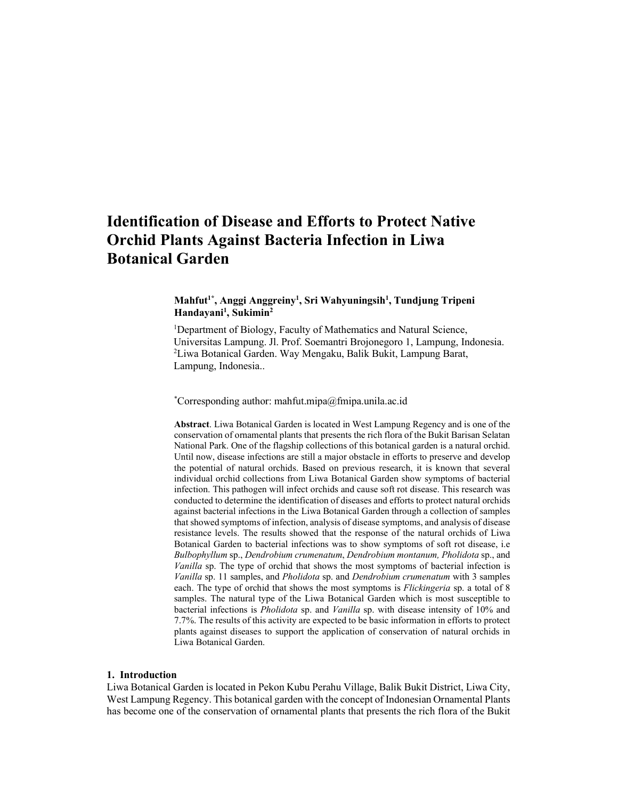# **Identification of Disease and Efforts to Protect Native Orchid Plants Against Bacteria Infection in Liwa Botanical Garden**

# **Mahfut1\* , Anggi Anggreiny1 , Sri Wahyuningsih1 , Tundjung Tripeni Handayani1 , Sukimin2**

<sup>1</sup>Department of Biology, Faculty of Mathematics and Natural Science, Universitas Lampung. Jl. Prof. Soemantri Brojonegoro 1, Lampung, Indonesia. 2 Liwa Botanical Garden. Way Mengaku, Balik Bukit, Lampung Barat, Lampung, Indonesia..

\* Corresponding author: mahfut.mipa@fmipa.unila.ac.id

**Abstract**. Liwa Botanical Garden is located in West Lampung Regency and is one of the conservation of ornamental plants that presents the rich flora of the Bukit Barisan Selatan National Park. One of the flagship collections of this botanical garden is a natural orchid. Until now, disease infections are still a major obstacle in efforts to preserve and develop the potential of natural orchids. Based on previous research, it is known that several individual orchid collections from Liwa Botanical Garden show symptoms of bacterial infection. This pathogen will infect orchids and cause soft rot disease. This research was conducted to determine the identification of diseases and efforts to protect natural orchids against bacterial infections in the Liwa Botanical Garden through a collection of samples that showed symptoms of infection, analysis of disease symptoms, and analysis of disease resistance levels. The results showed that the response of the natural orchids of Liwa Botanical Garden to bacterial infections was to show symptoms of soft rot disease, i.e *Bulbophyllum* sp., *Dendrobium crumenatum*, *Dendrobium montanum, Pholidota* sp., and *Vanilla* sp. The type of orchid that shows the most symptoms of bacterial infection is *Vanilla* sp. 11 samples, and *Pholidota* sp. and *Dendrobium crumenatum* with 3 samples each. The type of orchid that shows the most symptoms is *Flickingeria* sp. a total of 8 samples. The natural type of the Liwa Botanical Garden which is most susceptible to bacterial infections is *Pholidota* sp. and *Vanilla* sp. with disease intensity of 10% and 7.7%. The results of this activity are expected to be basic information in efforts to protect plants against diseases to support the application of conservation of natural orchids in Liwa Botanical Garden.

## **1. Introduction**

Liwa Botanical Garden is located in Pekon Kubu Perahu Village, Balik Bukit District, Liwa City, West Lampung Regency. This botanical garden with the concept of Indonesian Ornamental Plants has become one of the conservation of ornamental plants that presents the rich flora of the Bukit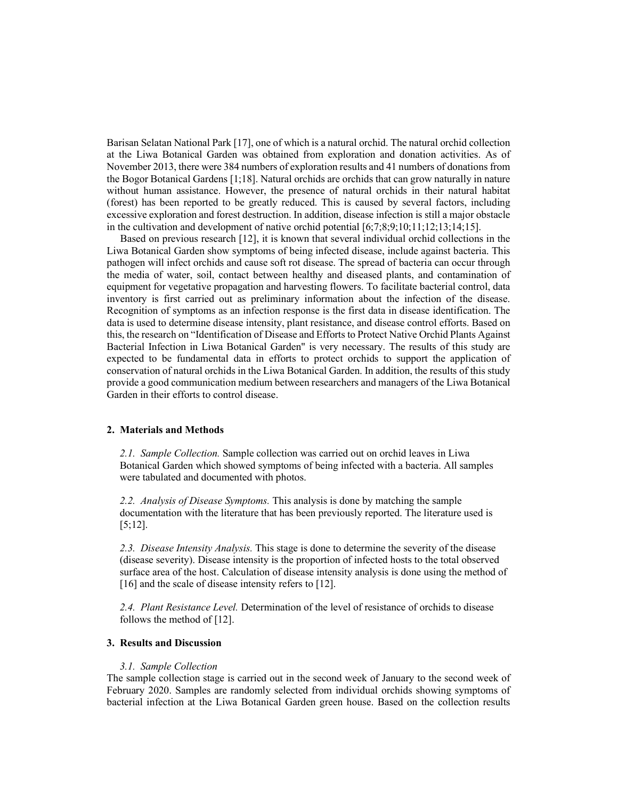Barisan Selatan National Park [17], one of which is a natural orchid. The natural orchid collection at the Liwa Botanical Garden was obtained from exploration and donation activities. As of November 2013, there were 384 numbers of exploration results and 41 numbers of donations from the Bogor Botanical Gardens [1;18]. Natural orchids are orchids that can grow naturally in nature without human assistance. However, the presence of natural orchids in their natural habitat (forest) has been reported to be greatly reduced. This is caused by several factors, including excessive exploration and forest destruction. In addition, disease infection is still a major obstacle in the cultivation and development of native orchid potential [6;7;8;9;10;11;12;13;14;15].

Based on previous research [12], it is known that several individual orchid collections in the Liwa Botanical Garden show symptoms of being infected disease, include against bacteria. This pathogen will infect orchids and cause soft rot disease. The spread of bacteria can occur through the media of water, soil, contact between healthy and diseased plants, and contamination of equipment for vegetative propagation and harvesting flowers. To facilitate bacterial control, data inventory is first carried out as preliminary information about the infection of the disease. Recognition of symptoms as an infection response is the first data in disease identification. The data is used to determine disease intensity, plant resistance, and disease control efforts. Based on this, the research on "Identification of Disease and Efforts to Protect Native Orchid Plants Against Bacterial Infection in Liwa Botanical Garden" is very necessary. The results of this study are expected to be fundamental data in efforts to protect orchids to support the application of conservation of natural orchids in the Liwa Botanical Garden. In addition, the results of this study provide a good communication medium between researchers and managers of the Liwa Botanical Garden in their efforts to control disease.

# **2. Materials and Methods**

*2.1. Sample Collection.* Sample collection was carried out on orchid leaves in Liwa Botanical Garden which showed symptoms of being infected with a bacteria. All samples were tabulated and documented with photos.

*2.2. Analysis of Disease Symptoms.* This analysis is done by matching the sample documentation with the literature that has been previously reported. The literature used is [5;12].

*2.3. Disease Intensity Analysis.* This stage is done to determine the severity of the disease (disease severity). Disease intensity is the proportion of infected hosts to the total observed surface area of the host. Calculation of disease intensity analysis is done using the method of [16] and the scale of disease intensity refers to [12].

*2.4. Plant Resistance Level.* Determination of the level of resistance of orchids to disease follows the method of [12].

# **3. Results and Discussion**

## *3.1. Sample Collection*

The sample collection stage is carried out in the second week of January to the second week of February 2020. Samples are randomly selected from individual orchids showing symptoms of bacterial infection at the Liwa Botanical Garden green house. Based on the collection results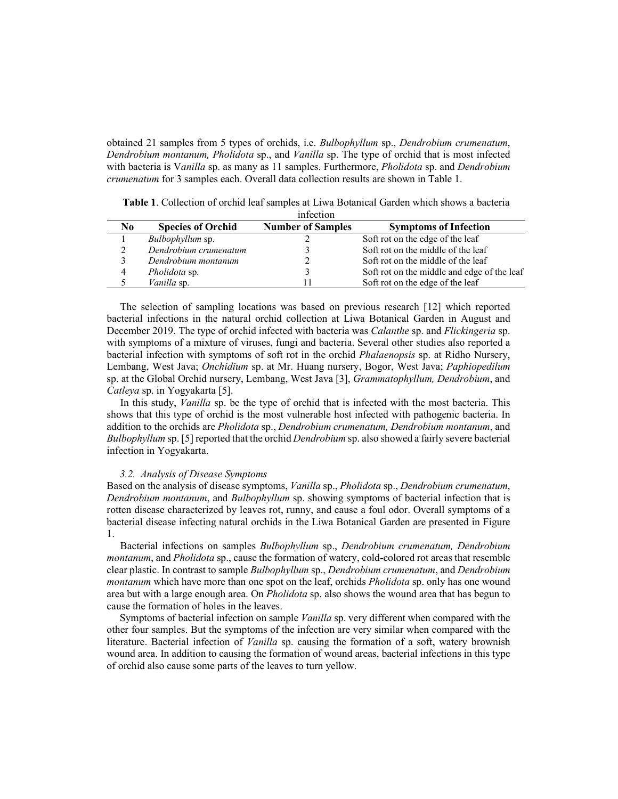obtained 21 samples from 5 types of orchids, i.e. *Bulbophyllum* sp., *Dendrobium crumenatum*, *Dendrobium montanum, Pholidota* sp., and *Vanilla* sp. The type of orchid that is most infected with bacteria is V*anilla* sp. as many as 11 samples. Furthermore, *Pholidota* sp. and *Dendrobium crumenatum* for 3 samples each. Overall data collection results are shown in Table 1.

|                |                          | ,,,,,,,,,,,,             |                                             |
|----------------|--------------------------|--------------------------|---------------------------------------------|
| N <sub>0</sub> | <b>Species of Orchid</b> | <b>Number of Samples</b> | <b>Symptoms of Infection</b>                |
|                | Bulbophyllum sp.         |                          | Soft rot on the edge of the leaf            |
|                | Dendrobium crumenatum    |                          | Soft rot on the middle of the leaf          |
|                | Dendrobium montanum      |                          | Soft rot on the middle of the leaf          |
| 4              | Pholidota sp.            |                          | Soft rot on the middle and edge of the leaf |
|                | Vanilla sp.              |                          | Soft rot on the edge of the leaf            |

| <b>Table 1.</b> Collection of orchid leaf samples at Liwa Botanical Garden which shows a bacteria |  |
|---------------------------------------------------------------------------------------------------|--|
| infection                                                                                         |  |

The selection of sampling locations was based on previous research [12] which reported bacterial infections in the natural orchid collection at Liwa Botanical Garden in August and December 2019. The type of orchid infected with bacteria was *Calanthe* sp. and *Flickingeria* sp. with symptoms of a mixture of viruses, fungi and bacteria. Several other studies also reported a bacterial infection with symptoms of soft rot in the orchid *Phalaenopsis* sp. at Ridho Nursery, Lembang, West Java; *Onchidium* sp. at Mr. Huang nursery, Bogor, West Java; *Paphiopedilum* sp. at the Global Orchid nursery, Lembang, West Java [3], *Grammatophyllum, Dendrobium*, and *Catleya* sp. in Yogyakarta [5].

In this study, *Vanilla* sp. be the type of orchid that is infected with the most bacteria. This shows that this type of orchid is the most vulnerable host infected with pathogenic bacteria. In addition to the orchids are *Pholidota* sp., *Dendrobium crumenatum, Dendrobium montanum*, and *Bulbophyllum* sp. [5] reported that the orchid *Dendrobium* sp. also showed a fairly severe bacterial infection in Yogyakarta.

#### *3.2. Analysis of Disease Symptoms*

Based on the analysis of disease symptoms, *Vanilla* sp., *Pholidota* sp., *Dendrobium crumenatum*, *Dendrobium montanum*, and *Bulbophyllum* sp. showing symptoms of bacterial infection that is rotten disease characterized by leaves rot, runny, and cause a foul odor. Overall symptoms of a bacterial disease infecting natural orchids in the Liwa Botanical Garden are presented in Figure 1.

Bacterial infections on samples *Bulbophyllum* sp., *Dendrobium crumenatum, Dendrobium montanum*, and *Pholidota* sp., cause the formation of watery, cold-colored rot areas that resemble clear plastic. In contrast to sample *Bulbophyllum* sp., *Dendrobium crumenatum*, and *Dendrobium montanum* which have more than one spot on the leaf, orchids *Pholidota* sp. only has one wound area but with a large enough area. On *Pholidota* sp. also shows the wound area that has begun to cause the formation of holes in the leaves.

Symptoms of bacterial infection on sample *Vanilla* sp. very different when compared with the other four samples. But the symptoms of the infection are very similar when compared with the literature. Bacterial infection of *Vanilla* sp. causing the formation of a soft, watery brownish wound area. In addition to causing the formation of wound areas, bacterial infections in this type of orchid also cause some parts of the leaves to turn yellow.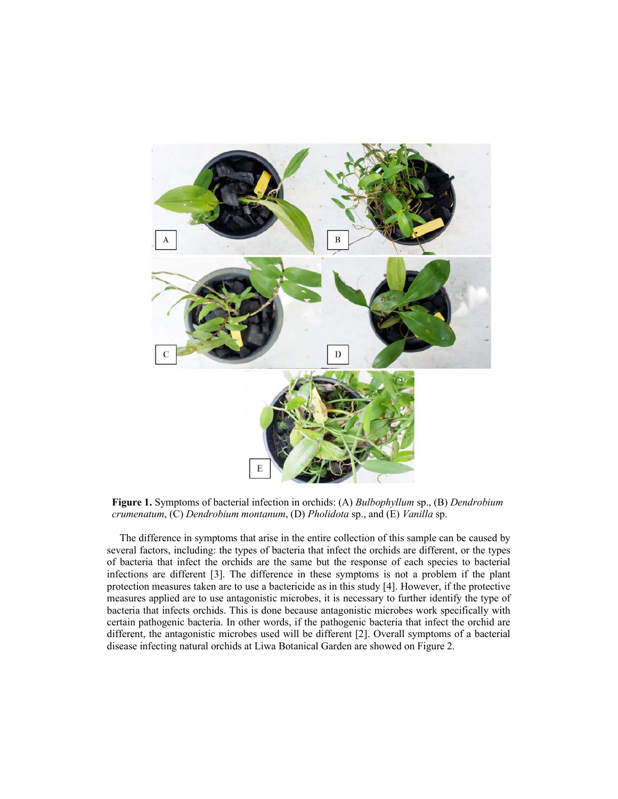

**Figure 1.** Symptoms of bacterial infection in orchids: (A) *Bulbophyllum* sp., (B) *Dendrobium crumenatum*, (C) *Dendrobium montanum*, (D) *Pholidota* sp., and (E) *Vanilla* sp.

The difference in symptoms that arise in the entire collection of this sample can be caused by several factors, including: the types of bacteria that infect the orchids are different, or the types of bacteria that infect the orchids are the same but the response of each species to bacterial infections are different [3]. The difference in these symptoms is not a problem if the plant protection measures taken are to use a bactericide as in this study [4]. However, if the protective measures applied are to use antagonistic microbes, it is necessary to further identify the type of bacteria that infects orchids. This is done because antagonistic microbes work specifically with certain pathogenic bacteria. In other words, if the pathogenic bacteria that infect the orchid are different, the antagonistic microbes used will be different [2]. Overall symptoms of a bacterial disease infecting natural orchids at Liwa Botanical Garden are showed on Figure 2.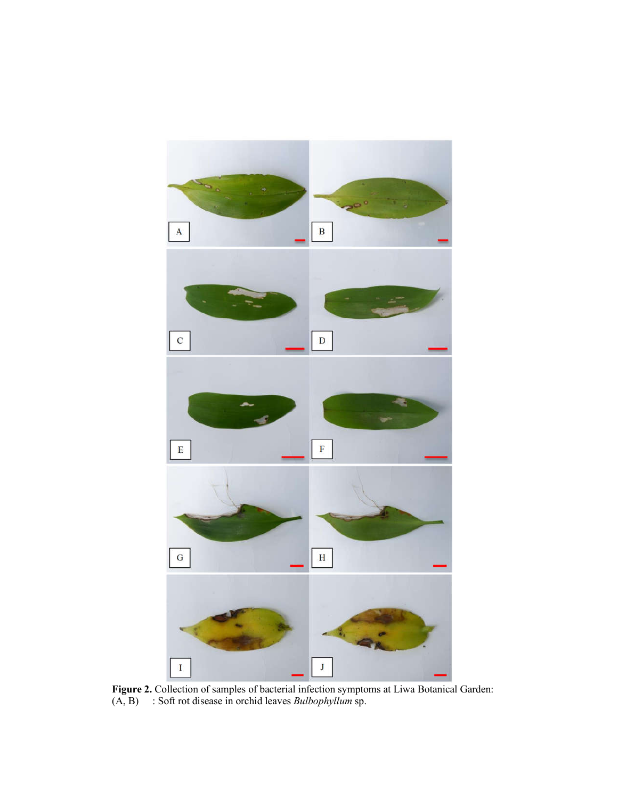

**Figure 2.** Collection of samples of bacterial infection symptoms at Liwa Botanical Garden: (A, B) : Soft rot disease in orchid leaves *Bulbophyllum* sp.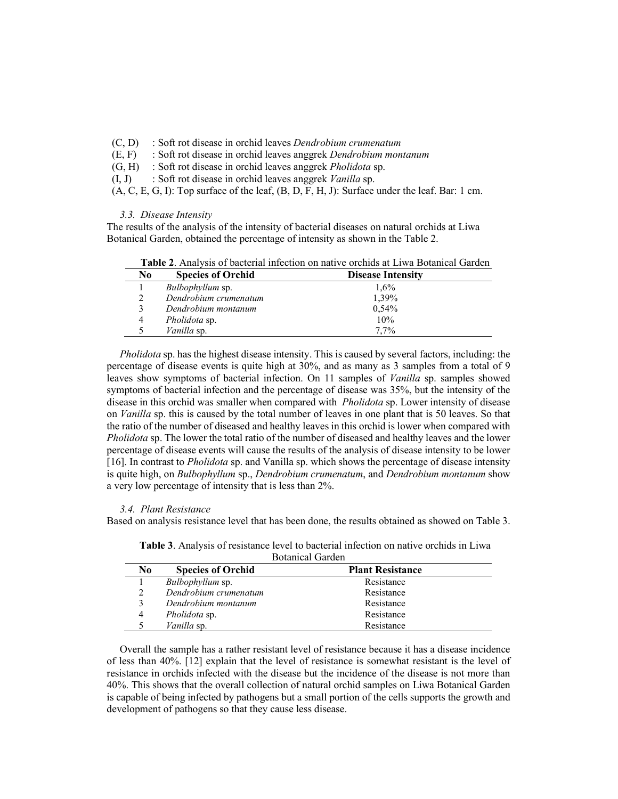- (C, D) : Soft rot disease in orchid leaves *Dendrobium crumenatum*
- (E, F) : Soft rot disease in orchid leaves anggrek *Dendrobium montanum*
- (G, H) : Soft rot disease in orchid leaves anggrek *Pholidota* sp.
- (I, J) : Soft rot disease in orchid leaves anggrek *Vanilla* sp.

 $(A, C, E, G, I)$ : Top surface of the leaf,  $(B, D, F, H, J)$ : Surface under the leaf. Bar: 1 cm.

## *3.3. Disease Intensity*

The results of the analysis of the intensity of bacterial diseases on natural orchids at Liwa Botanical Garden, obtained the percentage of intensity as shown in the Table 2.

|  |  |  |  |  |  |  |  | <b>Table 2.</b> Analysis of bacterial infection on native orchids at Liwa Botanical Garden |  |
|--|--|--|--|--|--|--|--|--------------------------------------------------------------------------------------------|--|
|--|--|--|--|--|--|--|--|--------------------------------------------------------------------------------------------|--|

| No | <b>Species of Orchid</b> | <b>Disease Intensity</b> |
|----|--------------------------|--------------------------|
|    | <i>Bulbophyllum</i> sp.  | $1.6\%$                  |
|    | Dendrobium crumenatum    | 1,39%                    |
|    | Dendrobium montanum      | 0,54%                    |
|    | <i>Pholidota</i> sp.     | 10%                      |
|    | <i>Vanilla</i> sp.       | $7.7\%$                  |

*Pholidota* sp. has the highest disease intensity. This is caused by several factors, including: the percentage of disease events is quite high at 30%, and as many as 3 samples from a total of 9 leaves show symptoms of bacterial infection. On 11 samples of *Vanilla* sp. samples showed symptoms of bacterial infection and the percentage of disease was 35%, but the intensity of the disease in this orchid was smaller when compared with *Pholidota* sp. Lower intensity of disease on *Vanilla* sp. this is caused by the total number of leaves in one plant that is 50 leaves. So that the ratio of the number of diseased and healthy leaves in this orchid is lower when compared with *Pholidota* sp. The lower the total ratio of the number of diseased and healthy leaves and the lower percentage of disease events will cause the results of the analysis of disease intensity to be lower [16]. In contrast to *Pholidota* sp. and Vanilla sp. which shows the percentage of disease intensity is quite high, on *Bulbophyllum* sp., *Dendrobium crumenatum*, and *Dendrobium montanum* show a very low percentage of intensity that is less than 2%.

### *3.4. Plant Resistance*

Based on analysis resistance level that has been done, the results obtained as showed on Table 3.

| N <sub>0</sub> | <b>Species of Orchid</b> | <b>Plant Resistance</b> |  |
|----------------|--------------------------|-------------------------|--|
|                | Bulbophyllum sp.         | Resistance              |  |
|                | Dendrobium crumenatum    | Resistance              |  |
|                | Dendrobium montanum      | Resistance              |  |
| 4              | <i>Pholidota</i> sp.     | Resistance              |  |
|                | <i>Vanilla</i> sp.       | Resistance              |  |

**Table 3**. Analysis of resistance level to bacterial infection on native orchids in Liwa Botanical Garden

Overall the sample has a rather resistant level of resistance because it has a disease incidence of less than 40%. [12] explain that the level of resistance is somewhat resistant is the level of resistance in orchids infected with the disease but the incidence of the disease is not more than 40%. This shows that the overall collection of natural orchid samples on Liwa Botanical Garden is capable of being infected by pathogens but a small portion of the cells supports the growth and development of pathogens so that they cause less disease.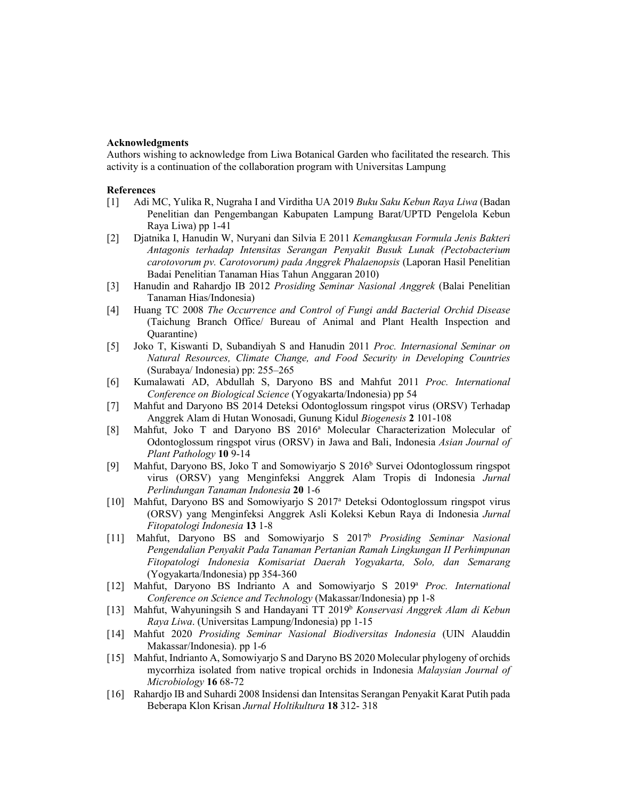# **Acknowledgments**

Authors wishing to acknowledge from Liwa Botanical Garden who facilitated the research. This activity is a continuation of the collaboration program with Universitas Lampung

#### **References**

- [1] Adi MC, Yulika R, Nugraha I and Virditha UA 2019 *Buku Saku Kebun Raya Liwa* (Badan Penelitian dan Pengembangan Kabupaten Lampung Barat/UPTD Pengelola Kebun Raya Liwa) pp 1-41
- [2] Djatnika I, Hanudin W, Nuryani dan Silvia E 2011 *Kemangkusan Formula Jenis Bakteri Antagonis terhadap Intensitas Serangan Penyakit Busuk Lunak (Pectobacterium carotovorum pv. Carotovorum) pada Anggrek Phalaenopsis* (Laporan Hasil Penelitian Badai Penelitian Tanaman Hias Tahun Anggaran 2010)
- [3] Hanudin and Rahardjo IB 2012 *Prosiding Seminar Nasional Anggrek* (Balai Penelitian Tanaman Hias/Indonesia)
- [4] Huang TC 2008 *The Occurrence and Control of Fungi andd Bacterial Orchid Disease* (Taichung Branch Office/ Bureau of Animal and Plant Health Inspection and Quarantine)
- [5] Joko T, Kiswanti D, Subandiyah S and Hanudin 2011 *Proc. Internasional Seminar on Natural Resources, Climate Change, and Food Security in Developing Countries* (Surabaya/ Indonesia) pp: 255–265
- [6] Kumalawati AD, Abdullah S, Daryono BS and Mahfut 2011 *Proc. International Conference on Biological Science* (Yogyakarta/Indonesia) pp 54
- [7] Mahfut and Daryono BS 2014 Deteksi Odontoglossum ringspot virus (ORSV) Terhadap Anggrek Alam di Hutan Wonosadi, Gunung Kidul *Biogenesis* **2** 101-108
- [8] Mahfut, Joko T and Daryono BS 2016<sup>a</sup> Molecular Characterization Molecular of Odontoglossum ringspot virus (ORSV) in Jawa and Bali, Indonesia *Asian Journal of Plant Pathology* **10** 9-14
- [9] Mahfut, Daryono BS, Joko T and Somowiyarjo S  $2016<sup>b</sup>$  Survei Odontoglossum ringspot virus (ORSV) yang Menginfeksi Anggrek Alam Tropis di Indonesia *Jurnal Perlindungan Tanaman Indonesia* **20** 1-6
- [10] Mahfut, Daryono BS and Somowiyarjo S 2017a Deteksi Odontoglossum ringspot virus (ORSV) yang Menginfeksi Anggrek Asli Koleksi Kebun Raya di Indonesia *Jurnal Fitopatologi Indonesia* **13** 1-8
- [11] Mahfut, Daryono BS and Somowiyarjo S 2017b *Prosiding Seminar Nasional Pengendalian Penyakit Pada Tanaman Pertanian Ramah Lingkungan II Perhimpunan Fitopatologi Indonesia Komisariat Daerah Yogyakarta, Solo, dan Semarang* (Yogyakarta/Indonesia) pp 354-360
- [12] Mahfut, Daryono BS Indrianto A and Somowiyarjo S 2019a *Proc. International Conference on Science and Technology* (Makassar/Indonesia) pp 1-8
- [13] Mahfut, Wahyuningsih S and Handayani TT 2019b *Konservasi Anggrek Alam di Kebun Raya Liwa*. (Universitas Lampung/Indonesia) pp 1-15
- [14] Mahfut 2020 *Prosiding Seminar Nasional Biodiversitas Indonesia* (UIN Alauddin Makassar/Indonesia). pp 1-6
- [15] Mahfut, Indrianto A, Somowiyarjo S and Daryno BS 2020 Molecular phylogeny of orchids mycorrhiza isolated from native tropical orchids in Indonesia *Malaysian Journal of Microbiology* **16** 68-72
- [16] Rahardjo IB and Suhardi 2008 Insidensi dan Intensitas Serangan Penyakit Karat Putih pada Beberapa Klon Krisan *Jurnal Holtikultura* **18** 312- 318